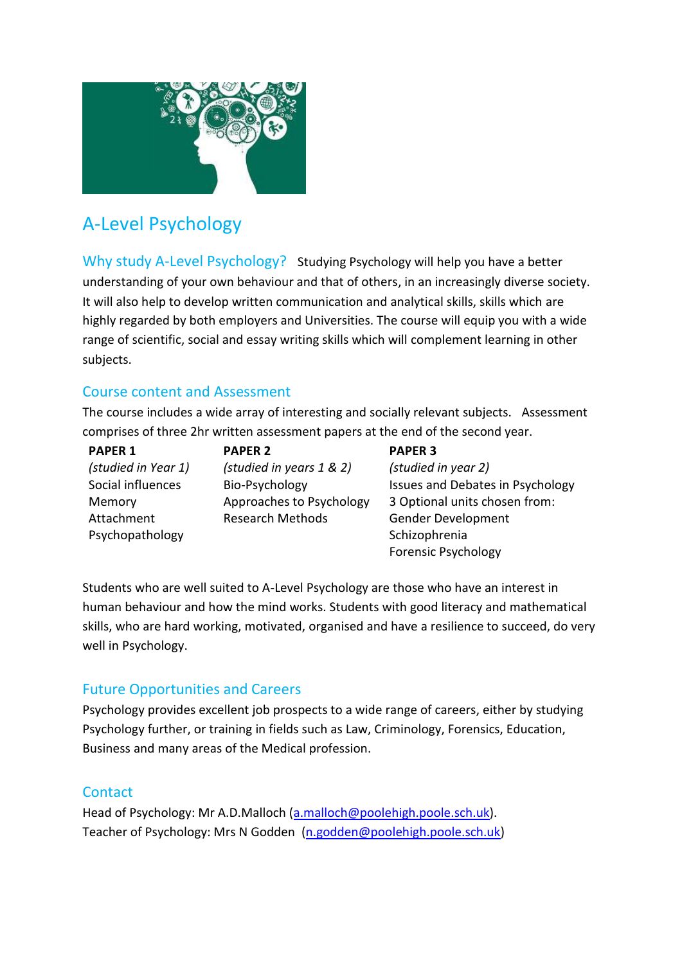

# A-Level Psychology

Why study A-Level Psychology? Studying Psychology will help you have a better understanding of your own behaviour and that of others, in an increasingly diverse society. It will also help to develop written communication and analytical skills, skills which are highly regarded by both employers and Universities. The course will equip you with a wide range of scientific, social and essay writing skills which will complement learning in other subjects.

## Course content and Assessment

The course includes a wide array of interesting and socially relevant subjects. Assessment comprises of three 2hr written assessment papers at the end of the second year.

#### **PAPER 1**

*(studied in Year 1)* Social influences Memory Attachment Psychopathology

**PAPER 2** *(studied in years 1 & 2)* Bio-Psychology Approaches to Psychology Research Methods

#### **PAPER 3**

*(studied in year 2)* Issues and Debates in Psychology 3 Optional units chosen from: Gender Development Schizophrenia Forensic Psychology

Students who are well suited to A-Level Psychology are those who have an interest in human behaviour and how the mind works. Students with good literacy and mathematical skills, who are hard working, motivated, organised and have a resilience to succeed, do very well in Psychology.

## Future Opportunities and Careers

Psychology provides excellent job prospects to a wide range of careers, either by studying Psychology further, or training in fields such as Law, Criminology, Forensics, Education, Business and many areas of the Medical profession.

### **Contact**

Head of Psychology: Mr A.D.Malloch [\(a.malloch@poolehigh.poole.sch.uk\)](mailto:a.malloch@poolehigh.poole.sch.uk). Teacher of Psychology: Mrs N Godden [\(n.godden@poolehigh.poole.sch.uk\)](mailto:n.godden@poolehigh.poole.sch.uk)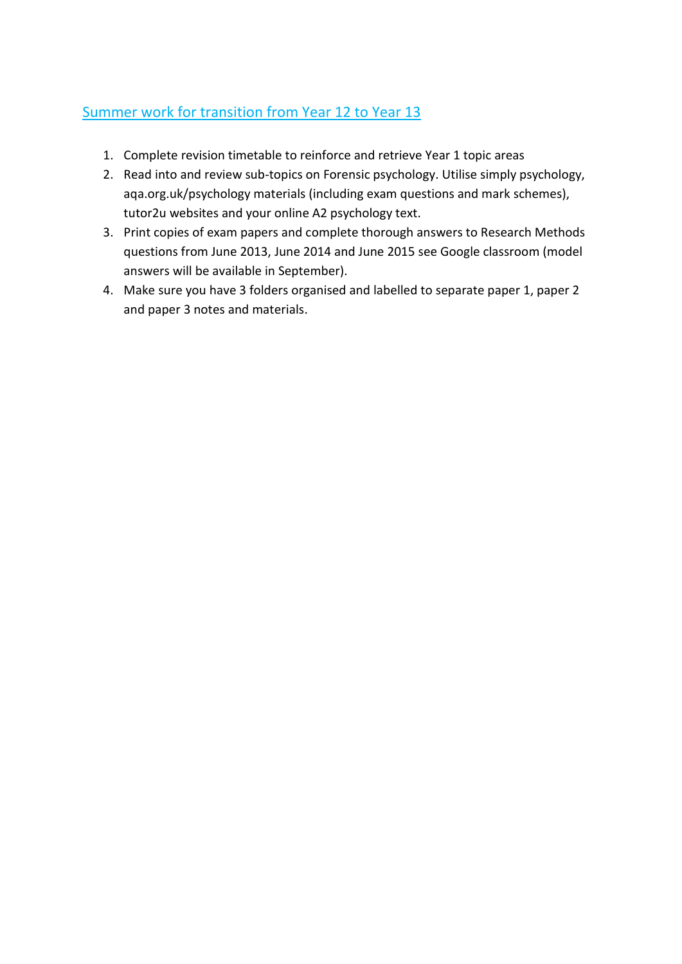## Summer work for transition from Year 12 to Year 13

- 1. Complete revision timetable to reinforce and retrieve Year 1 topic areas
- 2. Read into and review sub-topics on Forensic psychology. Utilise simply psychology, aqa.org.uk/psychology materials (including exam questions and mark schemes), tutor2u websites and your online A2 psychology text.
- 3. Print copies of exam papers and complete thorough answers to Research Methods questions from June 2013, June 2014 and June 2015 see Google classroom (model answers will be available in September).
- 4. Make sure you have 3 folders organised and labelled to separate paper 1, paper 2 and paper 3 notes and materials.